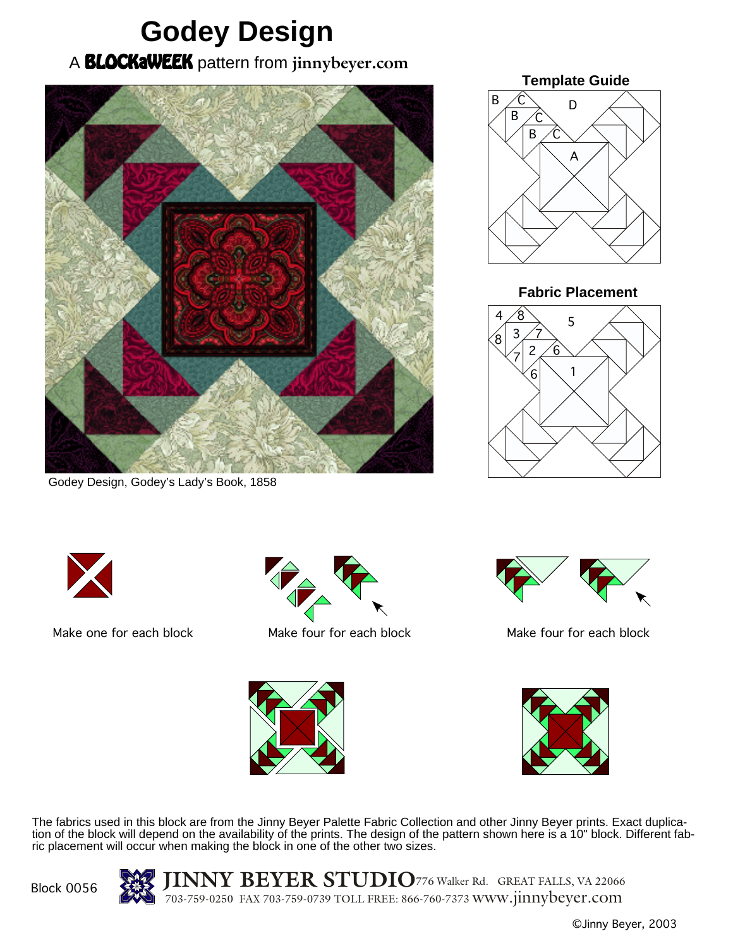## **Godey Design** A BLOCKaWEEK pattern from **jinnybeyer.com**



Godey Design, Godey's Lady's Book, 1858



**Fabric Placement**







Make one for each block Make four for each block Make four for each block





The fabrics used in this block are from the Jinny Beyer Palette Fabric Collection and other Jinny Beyer prints. Exact duplication of the block will depend on the availability of the prints. The design of the pattern shown here is a 10" block. Different fabric placement will occur when making the block in one of the other two sizes.

Block 0056

**JINNY BEYER STUDIO**<sup>776</sup> Walker Rd. GREAT FALLS, VA <sup>22066</sup> 703-759-0250 FAX 703-759-0739 TOLL FREE: 866-760-7373 www.jinnybeyer.com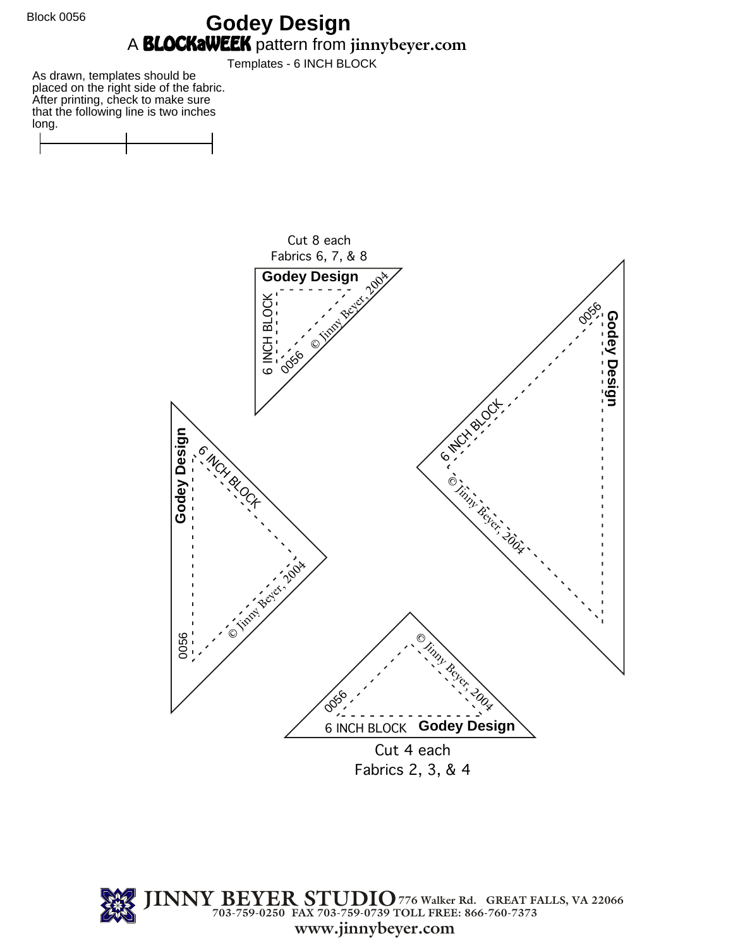Block 0056

## **Godey Design** A BLOCKaWEEK pattern from **jinnybeyer.com**

Templates - 6 INCH BLOCK

As drawn, templates should be placed on the right side of the fabric. After printing, check to make sure that the following line is two inches long.





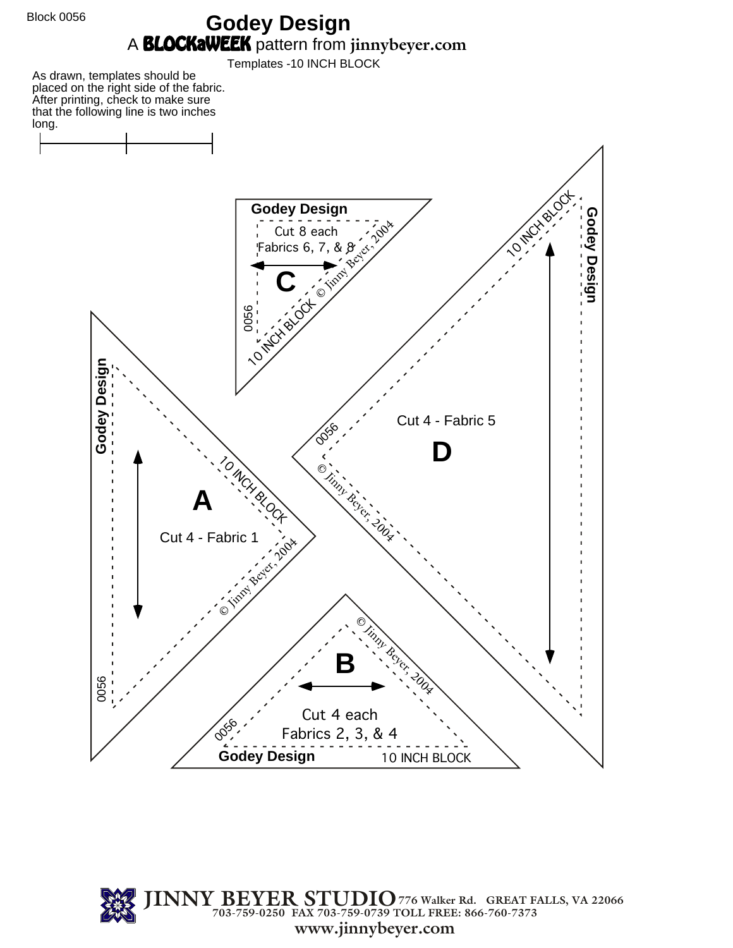Block 0056

## **Godey Design** A BLOCKaWEEK pattern from **jinnybeyer.com**

Templates -10 INCH BLOCK

As drawn, templates should be placed on the right side of the fabric. After printing, check to make sure that the following line is two inches long.